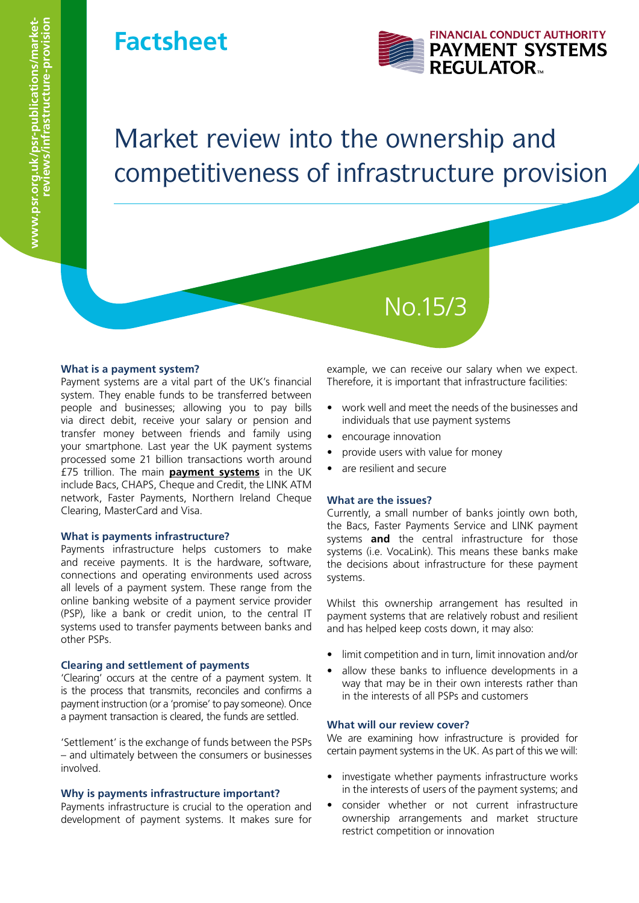### **Factsheet**



# Market review into the ownership and competitiveness of infrastructure provision

#### **What is a payment system?**

Payment systems are a vital part of the UK's financial system. They enable funds to be transferred between people and businesses; allowing you to pay bills via direct debit, receive your salary or pension and transfer money between friends and family using your smartphone. Last year the UK payment systems processed some 21 billion transactions worth around £75 trillion. The main **[payment systems](www.psr.org.uk/payment-systems/who-we-regulate)** in the UK include Bacs, CHAPS, Cheque and Credit, the LINK ATM network, Faster Payments, Northern Ireland Cheque Clearing, MasterCard and Visa.

#### **What is payments infrastructure?**

Payments infrastructure helps customers to make and receive payments. It is the hardware, software, connections and operating environments used across all levels of a payment system. These range from the online banking website of a payment service provider (PSP), like a bank or credit union, to the central IT systems used to transfer payments between banks and other PSPs.

#### **Clearing and settlement of payments**

'Clearing' occurs at the centre of a payment system. It is the process that transmits, reconciles and confirms a payment instruction (or a 'promise' to pay someone). Once a payment transaction is cleared, the funds are settled.

'Settlement' is the exchange of funds between the PSPs – and ultimately between the consumers or businesses involved.

#### **Why is payments infrastructure important?**

Payments infrastructure is crucial to the operation and development of payment systems. It makes sure for

example, we can receive our salary when we expect. Therefore, it is important that infrastructure facilities:

- work well and meet the needs of the businesses and individuals that use payment systems
- encourage innovation
- provide users with value for money

No.15/3

• are resilient and secure

#### **What are the issues?**

Currently, a small number of banks jointly own both, the Bacs, Faster Payments Service and LINK payment systems **and** the central infrastructure for those systems (i.e. VocaLink). This means these banks make the decisions about infrastructure for these payment systems.

Whilst this ownership arrangement has resulted in payment systems that are relatively robust and resilient and has helped keep costs down, it may also:

- limit competition and in turn, limit innovation and/or
- allow these banks to influence developments in a way that may be in their own interests rather than in the interests of all PSPs and customers

#### **What will our review cover?**

We are examining how infrastructure is provided for certain payment systems in the UK. As part of this we will:

- investigate whether payments infrastructure works in the interests of users of the payment systems; and
- consider whether or not current infrastructure ownership arrangements and market structure restrict competition or innovation